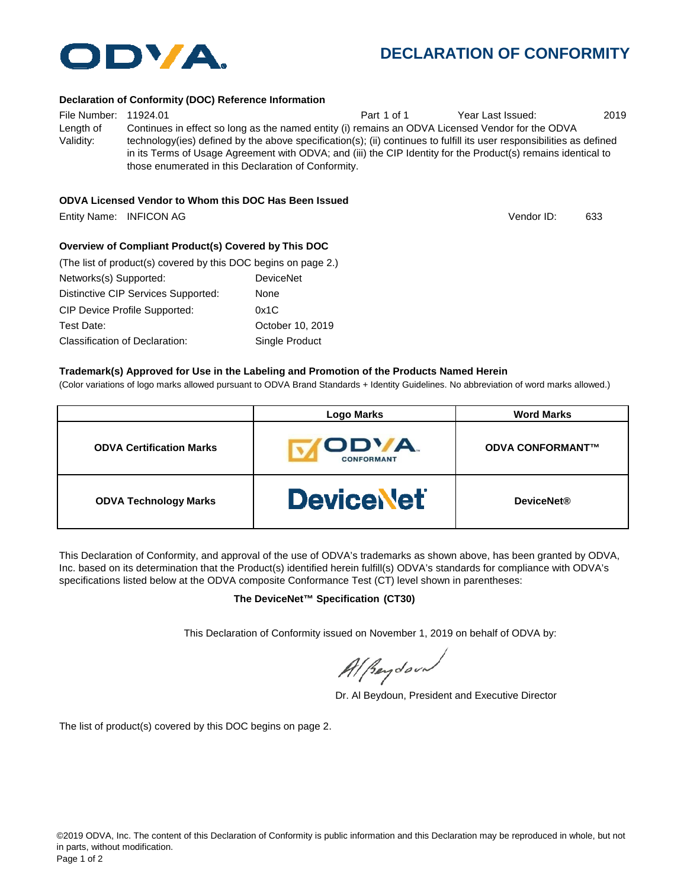

# **DECLARATION OF CONFORMITY**

#### **Declaration of Conformity (DOC) Reference Information**

File Number: 11924.01 Part 1 of 1 Year Last Issued: 2019 Length of Validity: Continues in effect so long as the named entity (i) remains an ODVA Licensed Vendor for the ODVA technology(ies) defined by the above specification(s); (ii) continues to fulfill its user responsibilities as defined in its Terms of Usage Agreement with ODVA; and (iii) the CIP Identity for the Product(s) remains identical to those enumerated in this Declaration of Conformity.

#### **ODVA Licensed Vendor to Whom this DOC Has Been Issued**

Entity Name: INFICON AG 633

Vendor ID:

### **Overview of Compliant Product(s) Covered by This DOC**

| (The list of product(s) covered by this DOC begins on page 2.) |                  |  |  |
|----------------------------------------------------------------|------------------|--|--|
| Networks(s) Supported:                                         | <b>DeviceNet</b> |  |  |
| Distinctive CIP Services Supported:                            | None             |  |  |
| <b>CIP Device Profile Supported:</b>                           | 0x1C             |  |  |
| Test Date:                                                     | October 10, 2019 |  |  |
| Classification of Declaration:                                 | Single Product   |  |  |

#### **Trademark(s) Approved for Use in the Labeling and Promotion of the Products Named Herein**

(Color variations of logo marks allowed pursuant to ODVA Brand Standards + Identity Guidelines. No abbreviation of word marks allowed.)

|                                 | <b>Logo Marks</b>          | <b>Word Marks</b>       |
|---------------------------------|----------------------------|-------------------------|
| <b>ODVA Certification Marks</b> | ODVA.<br><b>CONFORMANT</b> | <b>ODVA CONFORMANT™</b> |
| <b>ODVA Technology Marks</b>    | <b>DeviceNet</b>           | <b>DeviceNet®</b>       |

This Declaration of Conformity, and approval of the use of ODVA's trademarks as shown above, has been granted by ODVA, Inc. based on its determination that the Product(s) identified herein fulfill(s) ODVA's standards for compliance with ODVA's specifications listed below at the ODVA composite Conformance Test (CT) level shown in parentheses:

#### **The DeviceNet™ Specification (CT30)**

This Declaration of Conformity issued on November 1, 2019 on behalf of ODVA by:

Al peydound

Dr. Al Beydoun, President and Executive Director

The list of product(s) covered by this DOC begins on page 2.